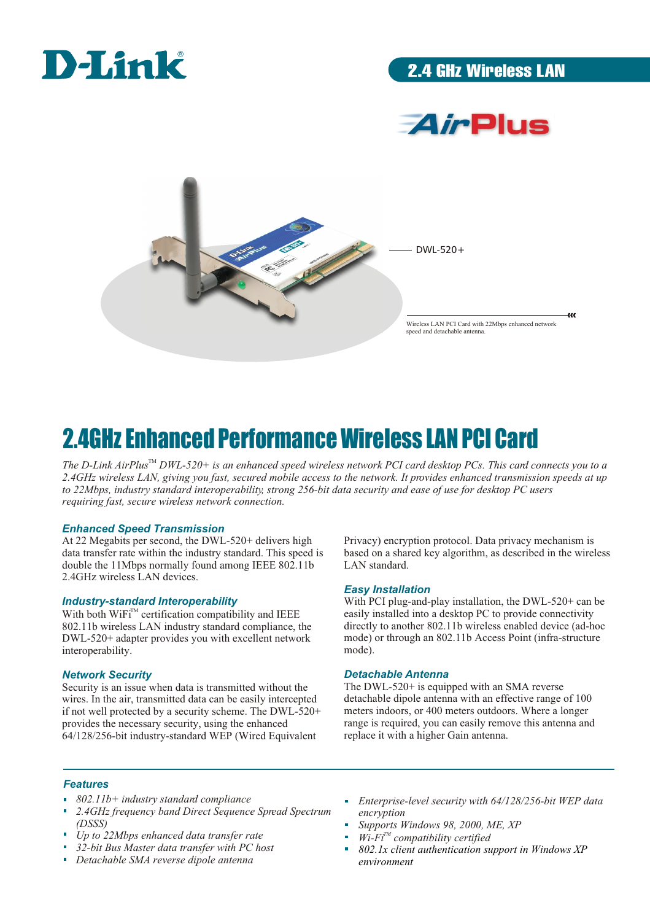

2.4GHz Wireless LAN





## 2.4GHz Enhanced Performance Wireless LAN PCI Card

The D-Link AirPlus<sup>™</sup> DWL-520+ is an enhanced speed wireless network PCI card desktop PCs. This card connects you to a *2.4GHz wireless LAN, giving you fast, secured mobile access to the network. It provides enhanced transmission speeds at up to 22Mbps, industry standard interoperability, strong 256-bit data security and ease of use for desktop PC users requiring fast, secure wireless network connection.*

#### *Enhanced Speed Transmission*

At 22 Megabits per second, the DWL-520+ delivers high data transfer rate within the industry standard. This speed is double the 11Mbps normally found among IEEE 802.11b 2.4GHz wireless LAN devices.

#### *Industry-standard Interoperability*

With both  $W$ iFi<sup> $M$ </sup> certification compatibility and IEEE 802.11b wireless LAN industry standard compliance, the DWL-520+ adapter provides you with excellent network interoperability.

#### *Network Security*

Security is an issue when data is transmitted without the wires. In the air, transmitted data can be easily intercepted if not well protected by a security scheme. The DWL-520+ provides the necessary security, using the enhanced 64/128/256-bit industry-standard WEP (Wired Equivalent

Privacy) encryption protocol. Data privacy mechanism is based on a shared key algorithm, as described in the wireless LAN standard.

#### *Easy Installation*

With PCI plug-and-play installation, the DWL-520+ can be easily installed into a desktop PC to provide connectivity directly to another 802.11b wireless enabled device (ad-hoc mode) or through an 802.11b Access Point (infra-structure mode).

#### *Detachable Antenna*

The DWL-520+ is equipped with an SMA reverse detachable dipole antenna with an effective range of 100 meters indoors, or 400 meters outdoors. Where a longer range is required, you can easily remove this antenna and replace it with a higher Gain antenna.

#### *Features*

- *802.11b+ industry standard compliance*
- *2.4GHz frequency band Direct Sequence Spread Spectrum (DSSS)*
- *Up to 22Mbps enhanced data transfer rate*
- *32-bit Bus Master data transfer with PC host*
- *Detachable SMA reverse dipole antenna*
- *Enterprise-level security with 64/128/256-bit WEP data encryption*
- *Supports Windows 98, 2000, ME, XP*
- $\mathbf{W}$  **Wi-Fi**<sup> $TM$ </sup> compatibility certified
- *802.1x client authentication support in Windows XP environment*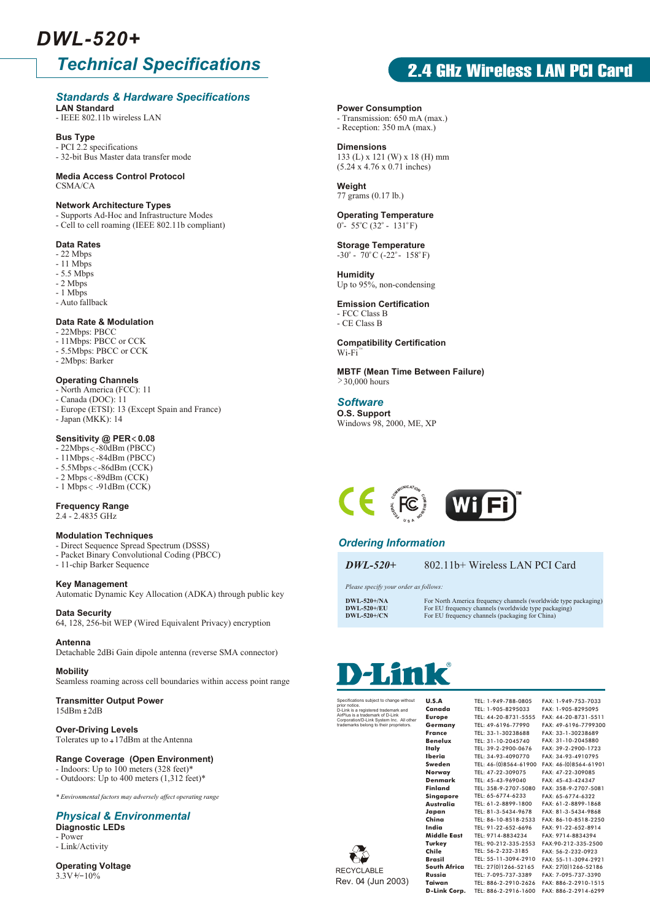## *DWL-520+*

### *Technical Specifications*

#### *Standards & Hardware Specifications*

**LAN Standard** - IEEE 802.11b wireless LAN

**Bus Type**

- PCI 2.2 specifications - 32-bit Bus Master data transfer mode

#### **Media Access Control Protocol**  $CSMA/CA$

#### **Network Architecture Types**

- Supports Ad-Hoc and Infrastructure Modes
- Cell to cell roaming (IEEE 802.11b compliant)

#### **Data Rates**

- 22 Mbps
- $-11$  Mbps
- 5.5 Mbps
- 2 Mbps
- 1 Mbps
- Auto fallback

#### **Data Rate & Modulation**

- 22Mbps: PBCC
- 11Mbps: PBCC or CCK
- 5.5Mbps: PBCC or CCK
- 2Mbps: Barker

#### **Operating Channels**

- North America (FCC): 11
- Canada (DOC): 11
- Europe (ETSI): 13 (Except Spain and France) - Japan (MKK): 14
- 

### **Sensitivity @ PER < 0.08**

- 22Mbps < 80dBm (PBCC)
- $-11Mbps < -84dBm$  (PBCC)
- 5.5Mbps < 86dBm (CCK) - 2 Mbps < - 89dBm (CCK)
- $-1$  Mbps <  $-91$ dBm (CCK)

**Frequency Range** 2.4 - 2.4835 GHz

#### **Modulation Techniques**

- Direct Sequence Spread Spectrum (DSSS)
- Packet Binary Convolutional Coding (PBCC)
- 11-chip Barker Sequence

**Key Management** Automatic Dynamic Key Allocation (ADKA) through public key

#### **Data Security**

64, 128, 256-bit WEP (Wired Equivalent Privacy) encryption

#### **Antenna**

Detachable 2dBi Gain dipole antenna (reverse SMA connector)

#### **Mobility**

Seamless roaming across cell boundaries within access point range

#### **Transmitter Output Power**  $15dBm + 2dB$

#### **Over-Driving Levels**

Tolerates up to  $+17$ dBm at the Antenna

#### **Range Coverage (Open Environment)**

- Indoors: Up to 100 meters (328 feet)\*
- Outdoors: Up to 400 meters (1,312 feet)\*

*\* Environmental factors may adversely affect operating range*

### *Physical & Environmental*

**Diagnostic LEDs** - Power - Link/Activity

**Operating Voltage**  $3.3V + 10\%$ 

### **2.4 GHz Wireless LAN PCI Card**

#### **Power Consumption**

- Transmission: 650 mA (max.)
- Reception: 350 mA (max.)

#### **Dimensions**

133 (L) x 121 (W) x 18 (H) mm (5.24 x 4.76 x 0.71 inches)

**Weight** 77 grams (0.17 lb.)

#### **Operating Temperature**  $0^{\circ}$ - 55 $^{\circ}$ C (32 $^{\circ}$  - 131 $^{\circ}$ F)

**Storage Temperature**   $-30^\circ$  - 70 $^{\circ}$ C (-22 $^{\circ}$  - 158 $^{\circ}$ F)

**Humidity** Up to 95%, non-condensing

#### **Emission Certification** - FCC Class B

- CE Class B

**Compatibility Certification** Wi-Fi TM

**MBTF (Mean Time Between Failure)**  $\geq$  30,000 hours

**O.S. Support** Windows 98, 2000, ME, XP *Software*



### *Ordering Information*

*DWL-520+* 802.11b+ Wireless LAN PCI Card

*Please specify your order as follows:*

**DWL-520+/NA** For North America frequency channels (worldwide type packaging)<br> **DWL-520+/EU** For EU frequency channels (worldwide type packaging) **DWL-520+/EU** For EU frequency channels (worldwide type packaging)<br> **DWL-520+/CN** For EU frequency channels (packaging for China)

# nk

prior notice. D-Link is a registered trademark and AirPlus is a trademark of D-Link Corporation/D-Link System Inc. All other trademarks belong to their proprietors.

**Canada Europe Germany France Benelux Italy Iberia Sweden Norway Denmark Finland Singapore Australia Japan China India Middle East Turkey Chile Brasil South Africa Russia Taiwan**

FAX: 1-949-753-7033 FAX: 886-2-2914-6299 **D-Link Corp.** TEL: 886-2-2916-1600TEL: 1-949-788-0805 TEL: 1-905-8295033 TEL: 44-20-8731-5555 TEL: 49-6196-77990 TEL: 33-1-30238688 TEL: 31-10-2045740 TEL: 39-2-2900-0676 TEL: 34-93-4090770 TEL: 46-(0)8564-61900 TEL: 47-22-309075 TEL: 45-43-969040 TEL: 358-9-2707-5080 TEL: 65-6774-6233 TEL: 61-2-8899-1800 TEL: 81-3-5434-9678 TEL: 91-22-652-6696 TEL: 9714-8834234 TEL: 56-2-232-3185 TEL: 7-095-737-3389

FAX: 1-905-8295095 FAX: 44-20-8731-5511 FAX: 49-6196-7799300 FAX: 33-1-30238689 FAX: 31-10-2045880 FAX: 39-2-2900-1723 FAX: 34-93-4910795 FAX: 46-(0)8564-61901 FAX: 47-22-309085 FAX: 45-43-424347 FAX: 358-9-2707-5081 FAX: 65-6774-6322 FAX: 61-2-8899-1868 FAX: 81-3-5434-9868 FAX: 86-10-8518-2250 TEL: 86-10-8518-2533 FAX: 91-22-652-8914 FAX: 9714-8834394 FAX:90-212-335-2500 TEL: 90-212-335-2553 FAX: 56-2-232-0923 FAX: 55-11-3094-2921 TEL: 55-11-3094-2910 TEL: 27(0)1266-52165 FAX: 27(0)1266-52186 FAX: 7-095-737-3390 TEL: 886-2-2910-2626 FAX: 886-2-2910-1515



subject to change with **U.S.A**

Rev. 04 (Jun 2003)